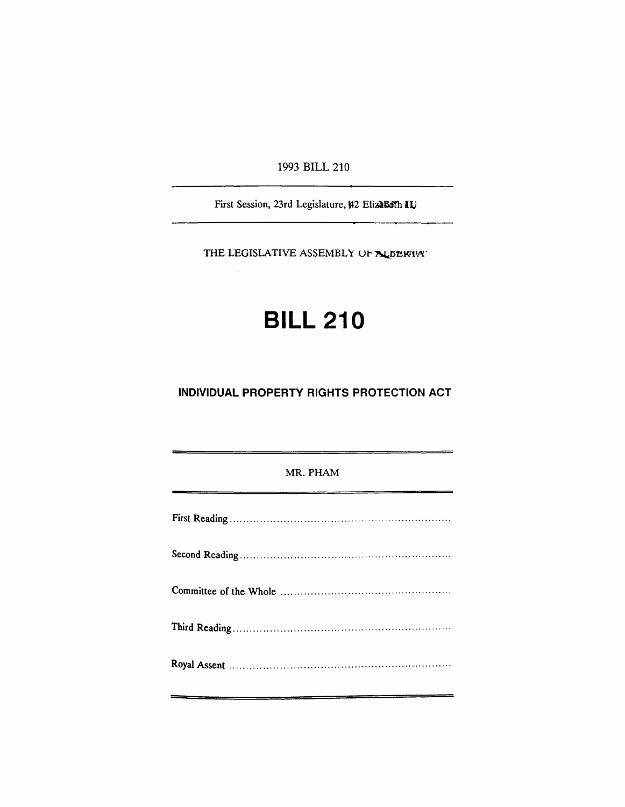1993 BILL 210

First Session, 23rd Legislature, #2 Elizabeth IU

THE LEGISLATIVE ASSEMBLY OF ALBERTIAT

# **BILL 210**

## INDIVIDUAL PROPERTY RIGHTS PROTECTION ACT

### MR. PHAM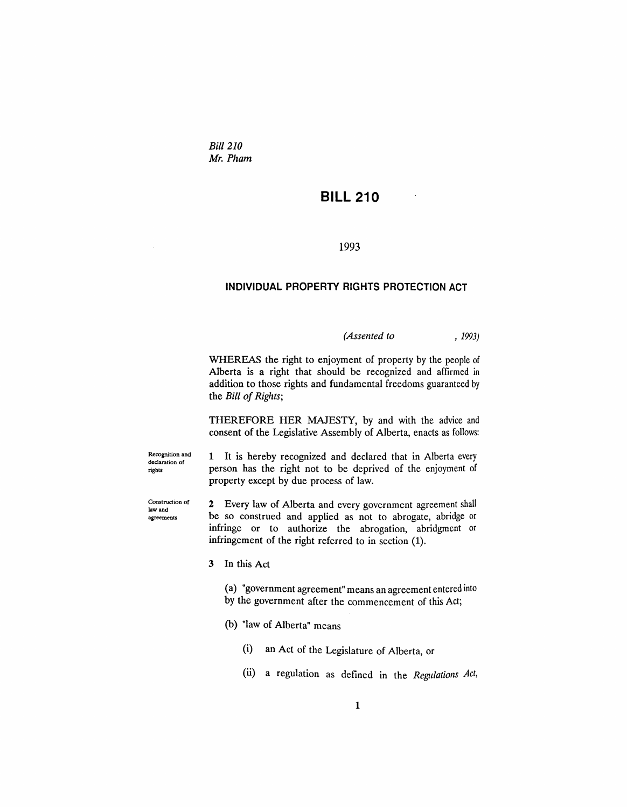*Bill 210 Mr. Pham*

# **BILL 210**

#### 1993

#### **INDIVIDUAL PROPERTY RIGHTS PROTECTION ACT**

*(Assented to* , 1993)

WHEREAS the right to enjoyment of property by the people of Alberta is a right that should be recognized and affirmed in addition to those rights and fundamental freedoms guaranteed by the *Bill of Rights*;

THEREFORE HER MAJESTY, by and with the advice and consent of the Legislative Assembly of Alberta, enacts as follows:

Recognition and declaration of rights

Construction of law and agreements

1 It is hereby recognized and declared that in Alberta every person has the right not to be deprived of the enjoyment of property except by due process of law.

2 Every law of Alberta and every government agreement shall be so construed and applied as not to abrogate, abridge or infringe or to authorize the abrogation, abridgment or infringement of the right referred to in section (1).

3 In this Act

(a) "government agreement" means an agreement entered into by the government after the commencement of this Act;

- (b) "law of Alberta" means
	- (i) an Act of the Legislature of Alberta, or
	- (ii) a regulation as defined in the *Regulations Act,*